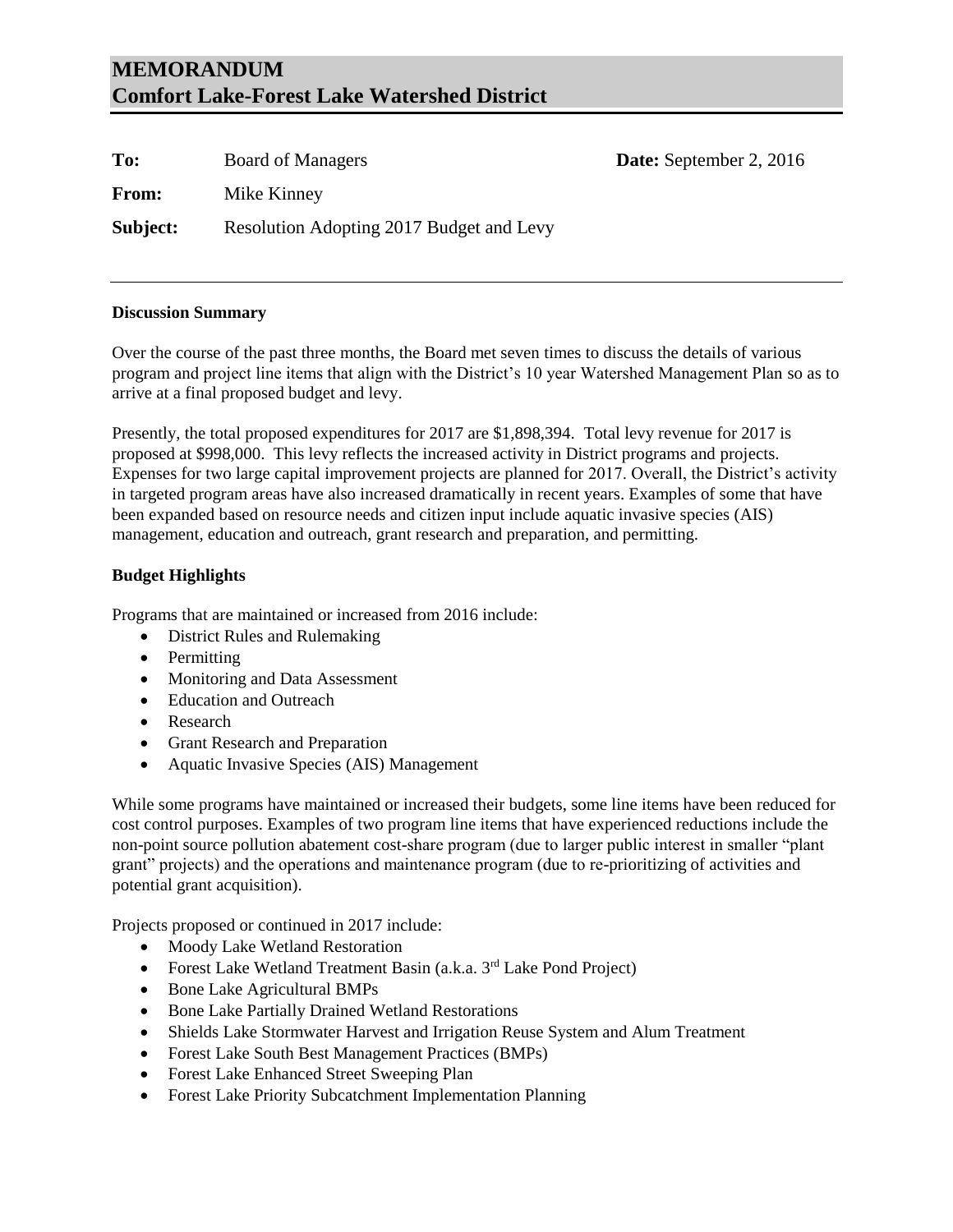# **MEMORANDUM Comfort Lake-Forest Lake Watershed District**

| To:      | <b>Board of Managers</b>                 | <b>Date:</b> September 2, 2016 |
|----------|------------------------------------------|--------------------------------|
| From:    | Mike Kinney                              |                                |
| Subject: | Resolution Adopting 2017 Budget and Levy |                                |

#### **Discussion Summary**

Over the course of the past three months, the Board met seven times to discuss the details of various program and project line items that align with the District's 10 year Watershed Management Plan so as to arrive at a final proposed budget and levy.

Presently, the total proposed expenditures for 2017 are \$1,898,394. Total levy revenue for 2017 is proposed at \$998,000. This levy reflects the increased activity in District programs and projects. Expenses for two large capital improvement projects are planned for 2017. Overall, the District's activity in targeted program areas have also increased dramatically in recent years. Examples of some that have been expanded based on resource needs and citizen input include aquatic invasive species (AIS) management, education and outreach, grant research and preparation, and permitting.

## **Budget Highlights**

Programs that are maintained or increased from 2016 include:

- District Rules and Rulemaking
- Permitting
- Monitoring and Data Assessment
- Education and Outreach
- Research
- Grant Research and Preparation
- Aquatic Invasive Species (AIS) Management

While some programs have maintained or increased their budgets, some line items have been reduced for cost control purposes. Examples of two program line items that have experienced reductions include the non-point source pollution abatement cost-share program (due to larger public interest in smaller "plant grant" projects) and the operations and maintenance program (due to re-prioritizing of activities and potential grant acquisition).

Projects proposed or continued in 2017 include:

- Moody Lake Wetland Restoration
- Forest Lake Wetland Treatment Basin (a.k.a. 3<sup>rd</sup> Lake Pond Project)
- Bone Lake Agricultural BMPs
- Bone Lake Partially Drained Wetland Restorations
- Shields Lake Stormwater Harvest and Irrigation Reuse System and Alum Treatment
- Forest Lake South Best Management Practices (BMPs)
- Forest Lake Enhanced Street Sweeping Plan
- Forest Lake Priority Subcatchment Implementation Planning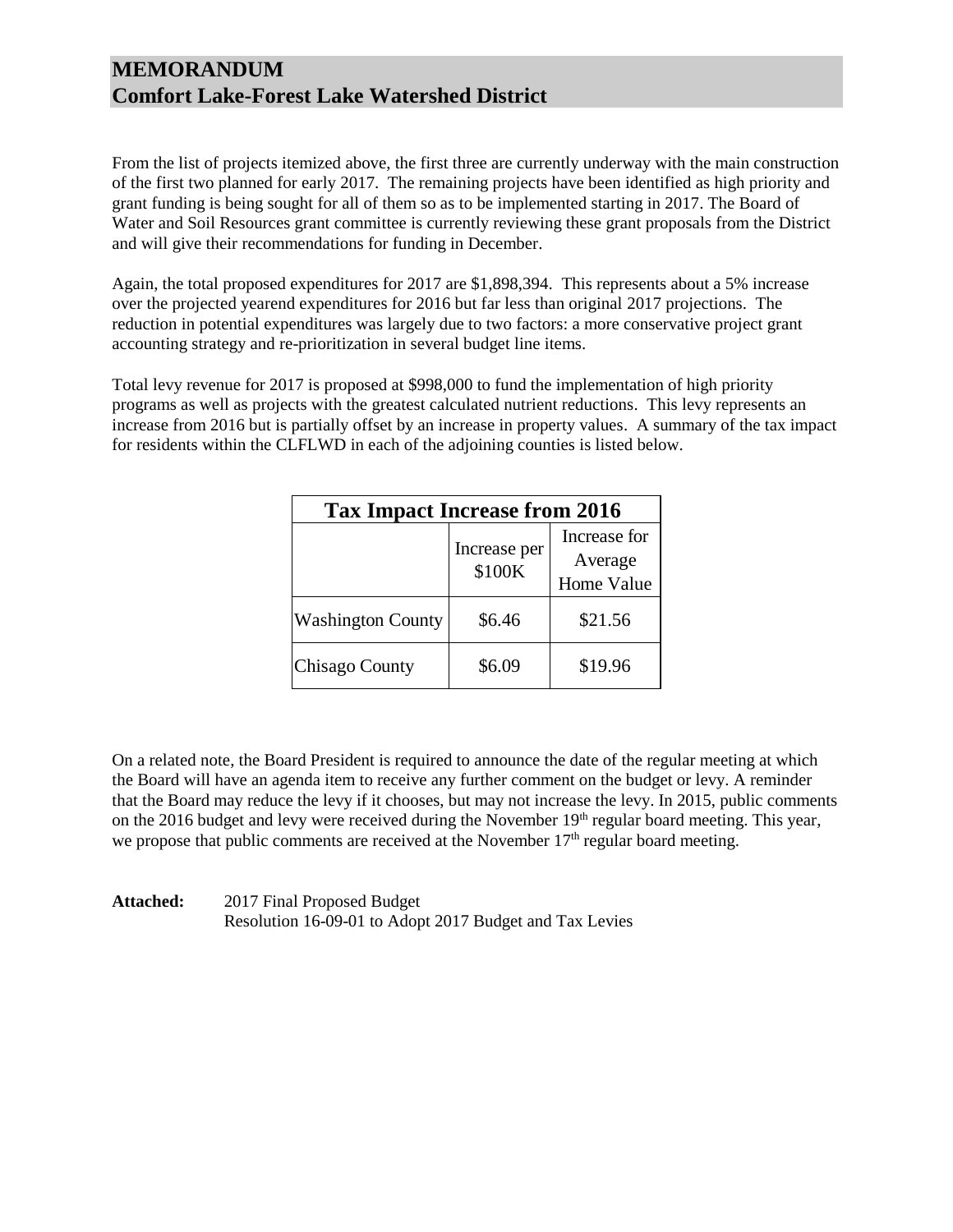# **MEMORANDUM Comfort Lake-Forest Lake Watershed District**

From the list of projects itemized above, the first three are currently underway with the main construction of the first two planned for early 2017. The remaining projects have been identified as high priority and grant funding is being sought for all of them so as to be implemented starting in 2017. The Board of Water and Soil Resources grant committee is currently reviewing these grant proposals from the District and will give their recommendations for funding in December.

Again, the total proposed expenditures for 2017 are \$1,898,394. This represents about a 5% increase over the projected yearend expenditures for 2016 but far less than original 2017 projections. The reduction in potential expenditures was largely due to two factors: a more conservative project grant accounting strategy and re-prioritization in several budget line items.

Total levy revenue for 2017 is proposed at \$998,000 to fund the implementation of high priority programs as well as projects with the greatest calculated nutrient reductions. This levy represents an increase from 2016 but is partially offset by an increase in property values. A summary of the tax impact for residents within the CLFLWD in each of the adjoining counties is listed below.

| <b>Tax Impact Increase from 2016</b> |                        |                                              |  |  |  |  |
|--------------------------------------|------------------------|----------------------------------------------|--|--|--|--|
|                                      | Increase per<br>\$100K | Increase for<br>Average<br><b>Home Value</b> |  |  |  |  |
| <b>Washington County</b>             | \$6.46                 | \$21.56                                      |  |  |  |  |
| Chisago County                       | \$6.09                 | \$19.96                                      |  |  |  |  |

On a related note, the Board President is required to announce the date of the regular meeting at which the Board will have an agenda item to receive any further comment on the budget or levy. A reminder that the Board may reduce the levy if it chooses, but may not increase the levy. In 2015, public comments on the 2016 budget and levy were received during the November 19<sup>th</sup> regular board meeting. This year, we propose that public comments are received at the November  $17<sup>th</sup>$  regular board meeting.

| <b>Attached:</b> | 2017 Final Proposed Budget                              |
|------------------|---------------------------------------------------------|
|                  | Resolution 16-09-01 to Adopt 2017 Budget and Tax Levies |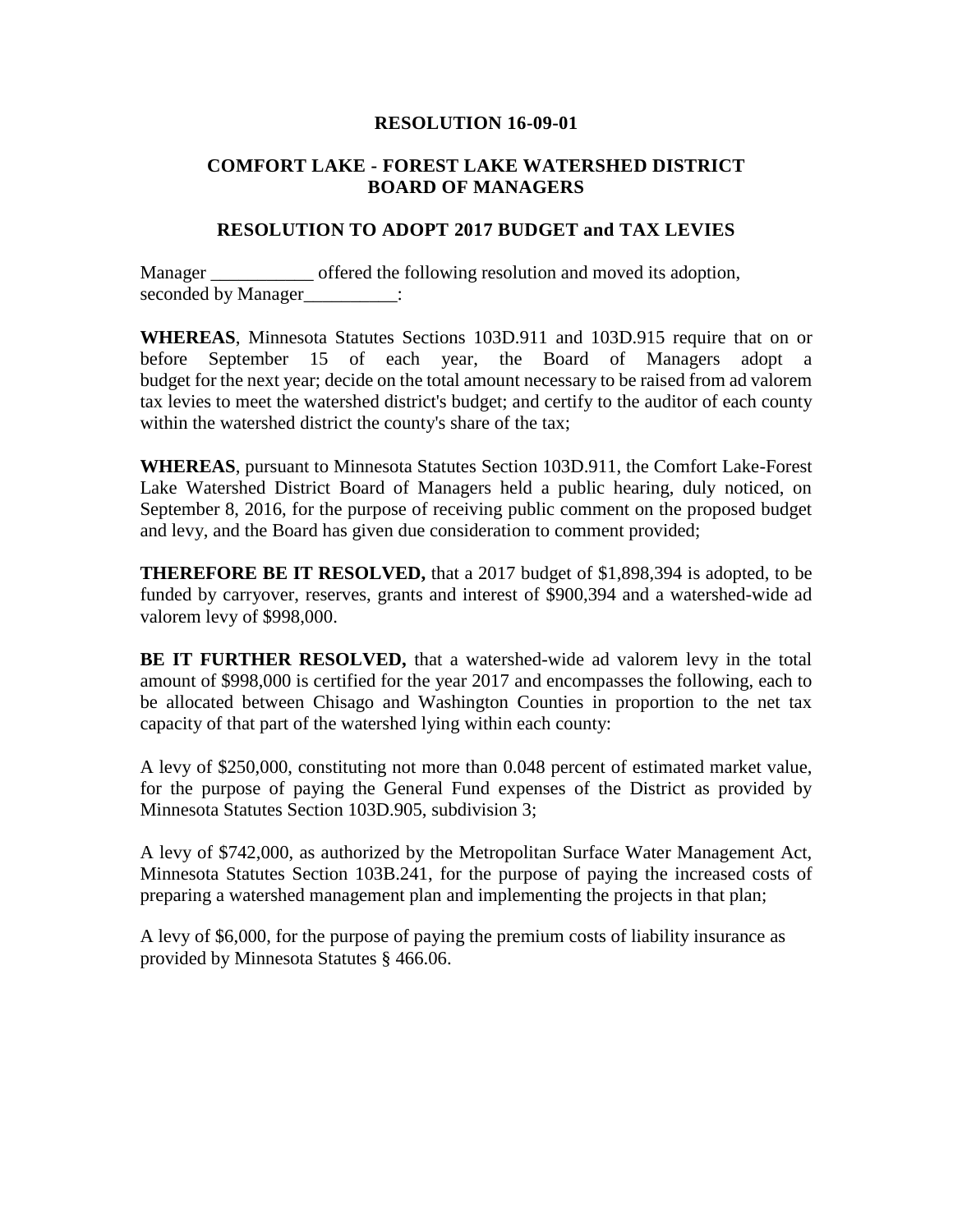#### **RESOLUTION 16-09-01**

## **COMFORT LAKE - FOREST LAKE WATERSHED DISTRICT BOARD OF MANAGERS**

## **RESOLUTION TO ADOPT 2017 BUDGET and TAX LEVIES**

Manager \_\_\_\_\_\_\_\_\_\_\_ offered the following resolution and moved its adoption, seconded by Manager\_\_\_\_\_\_\_\_\_\_\_:

**WHEREAS**, Minnesota Statutes Sections 103D.911 and 103D.915 require that on or before September 15 of each year, the Board of Managers adopt a budget for the next year; decide on the total amount necessary to be raised from ad valorem tax levies to meet the watershed district's budget; and certify to the auditor of each county within the watershed district the county's share of the tax;

**WHEREAS**, pursuant to Minnesota Statutes Section 103D.911, the Comfort Lake-Forest Lake Watershed District Board of Managers held a public hearing, duly noticed, on September 8, 2016, for the purpose of receiving public comment on the proposed budget and levy, and the Board has given due consideration to comment provided;

**THEREFORE BE IT RESOLVED,** that a 2017 budget of \$1,898,394 is adopted, to be funded by carryover, reserves, grants and interest of \$900,394 and a watershed-wide ad valorem levy of \$998,000.

**BE IT FURTHER RESOLVED,** that a watershed-wide ad valorem levy in the total amount of \$998,000 is certified for the year 2017 and encompasses the following, each to be allocated between Chisago and Washington Counties in proportion to the net tax capacity of that part of the watershed lying within each county:

A levy of \$250,000, constituting not more than 0.048 percent of estimated market value, for the purpose of paying the General Fund expenses of the District as provided by Minnesota Statutes Section 103D.905, subdivision 3;

A levy of \$742,000, as authorized by the Metropolitan Surface Water Management Act, Minnesota Statutes Section 103B.241, for the purpose of paying the increased costs of preparing a watershed management plan and implementing the projects in that plan;

A levy of \$6,000, for the purpose of paying the premium costs of liability insurance as provided by Minnesota Statutes § 466.06.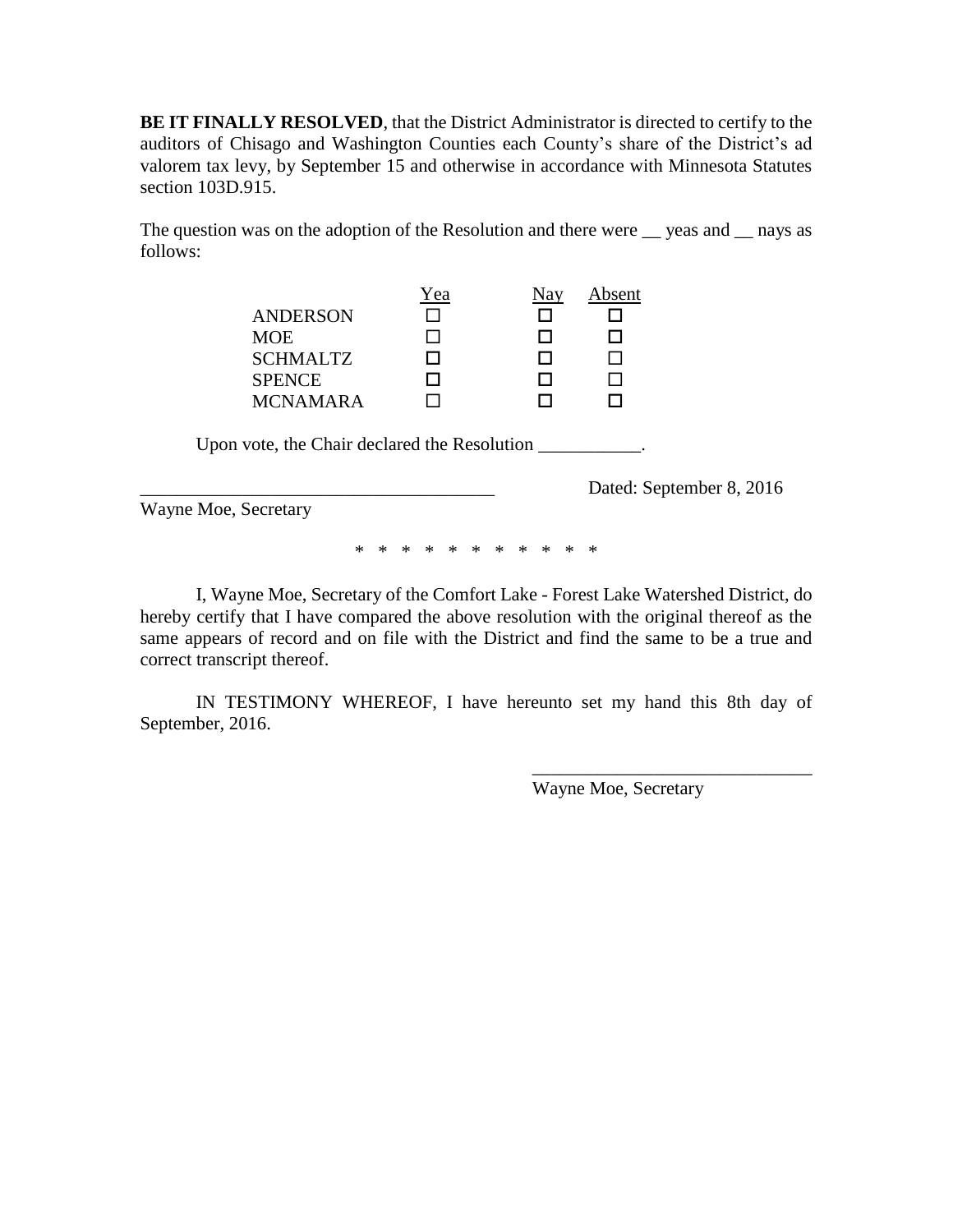**BE IT FINALLY RESOLVED**, that the District Administrator is directed to certify to the auditors of Chisago and Washington Counties each County's share of the District's ad valorem tax levy, by September 15 and otherwise in accordance with Minnesota Statutes section 103D.915.

The question was on the adoption of the Resolution and there were  $\equiv$  yeas and  $\equiv$  nays as follows:

|                 | Yea | Absent |
|-----------------|-----|--------|
| <b>ANDERSON</b> |     |        |
| <b>MOE</b>      |     |        |
| <b>SCHMALTZ</b> |     |        |
| <b>SPENCE</b>   |     |        |
| <b>MCNAMARA</b> |     |        |

Upon vote, the Chair declared the Resolution \_\_\_\_\_\_\_\_\_\_.

Dated: September 8, 2016

Wayne Moe, Secretary

\* \* \* \* \* \* \* \* \* \* \*

I, Wayne Moe, Secretary of the Comfort Lake - Forest Lake Watershed District, do hereby certify that I have compared the above resolution with the original thereof as the same appears of record and on file with the District and find the same to be a true and correct transcript thereof.

IN TESTIMONY WHEREOF, I have hereunto set my hand this 8th day of September, 2016.

Wayne Moe, Secretary

\_\_\_\_\_\_\_\_\_\_\_\_\_\_\_\_\_\_\_\_\_\_\_\_\_\_\_\_\_\_